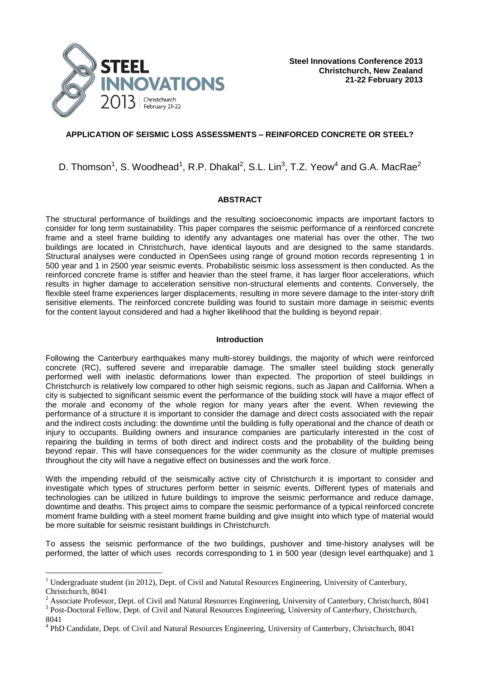

# **APPLICATION OF SEISMIC LOSS ASSESSMENTS – REINFORCED CONCRETE OR STEEL?**

# <span id="page-0-0"></span>D. Thomson $^1$  $^1$ , S. Woodhead $^1$ , R.P. Dhakal $^2$  $^2$ , S.L. Lin $^3$ , T.Z. Yeow $^4$  and G.A. MacRae $^2$

# <span id="page-0-1"></span>**ABSTRACT**

The structural performance of buildings and the resulting socioeconomic impacts are important factors to consider for long term sustainability. This paper compares the seismic performance of a reinforced concrete frame and a steel frame building to identify any advantages one material has over the other. The two buildings are located in Christchurch, have identical layouts and are designed to the same standards. Structural analyses were conducted in OpenSees using range of ground motion records representing 1 in 500 year and 1 in 2500 year seismic events. Probabilistic seismic loss assessment is then conducted. As the reinforced concrete frame is stiffer and heavier than the steel frame, it has larger floor accelerations, which results in higher damage to acceleration sensitive non-structural elements and contents. Conversely, the flexible steel frame experiences larger displacements, resulting in more severe damage to the inter-story drift sensitive elements. The reinforced concrete building was found to sustain more damage in seismic events for the content layout considered and had a higher likelihood that the building is beyond repair.

## **Introduction**

Following the Canterbury earthquakes many multi-storey buildings, the majority of which were reinforced concrete (RC), suffered severe and irreparable damage. The smaller steel building stock generally performed well with inelastic deformations lower than expected. The proportion of steel buildings in Christchurch is relatively low compared to other high seismic regions, such as Japan and California. When a city is subjected to significant seismic event the performance of the building stock will have a major effect of the morale and economy of the whole region for many years after the event. When reviewing the performance of a structure it is important to consider the damage and direct costs associated with the repair and the indirect costs including: the downtime until the building is fully operational and the chance of death or injury to occupants. Building owners and insurance companies are particularly interested in the cost of repairing the building in terms of both direct and indirect costs and the probability of the building being beyond repair. This will have consequences for the wider community as the closure of multiple premises throughout the city will have a negative effect on businesses and the work force.

With the impending rebuild of the seismically active city of Christchurch it is important to consider and investigate which types of structures perform better in seismic events. Different types of materials and technologies can be utilized in future buildings to improve the seismic performance and reduce damage, downtime and deaths. This project aims to compare the seismic performance of a typical reinforced concrete moment frame building with a steel moment frame building and give insight into which type of material would be more suitable for seismic resistant buildings in Christchurch.

To assess the seismic performance of the two buildings, pushover and time-history analyses will be performed, the latter of which uses records corresponding to 1 in 500 year (design level earthquake) and 1

—<br>—

3 Post-Doctoral Fellow, Dept. of Civil and Natural Resources Engineering, University of Canterbury, Christchurch, 8041

<sup>&</sup>lt;sup>1</sup> Undergraduate student (in 2012), Dept. of Civil and Natural Resources Engineering, University of Canterbury, Christchurch, 8041

 $2$  Associate Professor, Dept. of Civil and Natural Resources Engineering, University of Canterbury, Christchurch, 8041

<sup>&</sup>lt;sup>4</sup> PhD Candidate, Dept. of Civil and Natural Resources Engineering, University of Canterbury, Christchurch, 8041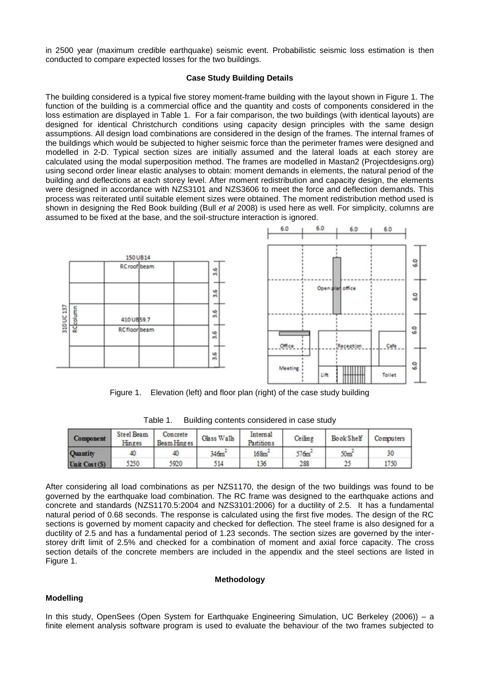in 2500 year (maximum credible earthquake) seismic event. Probabilistic seismic loss estimation is then conducted to compare expected losses for the two buildings.

## **Case Study Building Details**

The building considered is a typical five storey moment-frame building with the layout shown in Figure 1. The function of the building is a commercial office and the quantity and costs of components considered in the loss estimation are displayed in Table 1. For a fair comparison, the two buildings (with identical layouts) are designed for identical Christchurch conditions using capacity design principles with the same design assumptions. All design load combinations are considered in the design of the frames. The internal frames of the buildings which would be subjected to higher seismic force than the perimeter frames were designed and modelled in 2-D. Typical section sizes are initially assumed and the lateral loads at each storey are calculated using the modal superposition method. The frames are modelled in Mastan2 (Projectdesigns.org) using second order linear elastic analyses to obtain: moment demands in elements, the natural period of the building and deflections at each storey level. After moment redistribution and capacity design, the elements were designed in accordance with NZS3101 and NZS3606 to meet the force and deflection demands. This process was reiterated until suitable element sizes were obtained. The moment redistribution method used is shown in designing the Red Book building (Bull *et al* 2008) is used here as well. For simplicity, columns are assumed to be fixed at the base, and the soil-structure interaction is ignored.

6.0

6.0

6.0

6.0

6.0

6.0

6.0

6.0



Figure 1. Elevation (left) and floor plan (right) of the case study building

| Component    | Steel Beam<br>Hinges | Concrete<br>Beam Hinges | Glass Walls       | Internal<br>Partitions | Ceiling           | Book Shelf    | Computers |
|--------------|----------------------|-------------------------|-------------------|------------------------|-------------------|---------------|-----------|
| Quantity     | 40                   |                         | 346m <sup>2</sup> | $168m$ <sup>-</sup>    | 576m <sup>2</sup> | 50m°          | 30        |
| Unit Cost(S) | 5250                 | 5920                    | 514               | 136                    | 288               | 25<br>لمنابئة | 1750      |

Table 1. Building contents considered in case study

After considering all load combinations as per NZS1170, the design of the two buildings was found to be governed by the earthquake load combination. The RC frame was designed to the earthquake actions and concrete and standards (NZS1170.5:2004 and NZS3101:2006) for a ductility of 2.5. It has a fundamental natural period of 0.68 seconds. The response is calculated using the first five modes. The design of the RC sections is governed by moment capacity and checked for deflection. The steel frame is also designed for a ductility of 2.5 and has a fundamental period of 1.23 seconds. The section sizes are governed by the interstorey drift limit of 2.5% and checked for a combination of moment and axial force capacity. The cross section details of the concrete members are included in the appendix and the steel sections are listed in Figure 1.

## **Methodology**

## **Modelling**

In this study, OpenSees (Open System for Earthquake Engineering Simulation, UC Berkeley (2006)) – a finite element analysis software program is used to evaluate the behaviour of the two frames subjected to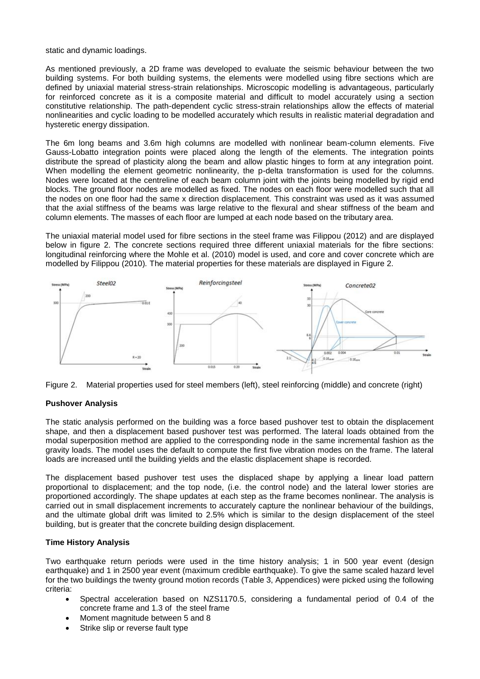static and dynamic loadings.

As mentioned previously, a 2D frame was developed to evaluate the seismic behaviour between the two building systems. For both building systems, the elements were modelled using fibre sections which are defined by uniaxial material stress-strain relationships. Microscopic modelling is advantageous, particularly for reinforced concrete as it is a composite material and difficult to model accurately using a section constitutive relationship. The path-dependent cyclic stress-strain relationships allow the effects of material nonlinearities and cyclic loading to be modelled accurately which results in realistic material degradation and hysteretic energy dissipation.

The 6m long beams and 3.6m high columns are modelled with nonlinear beam-column elements. Five Gauss-Lobatto integration points were placed along the length of the elements. The integration points distribute the spread of plasticity along the beam and allow plastic hinges to form at any integration point. When modelling the element geometric nonlinearity, the p-delta transformation is used for the columns. Nodes were located at the centreline of each beam column joint with the joints being modelled by rigid end blocks. The ground floor nodes are modelled as fixed. The nodes on each floor were modelled such that all the nodes on one floor had the same x direction displacement. This constraint was used as it was assumed that the axial stiffness of the beams was large relative to the flexural and shear stiffness of the beam and column elements. The masses of each floor are lumped at each node based on the tributary area.

The uniaxial material model used for fibre sections in the steel frame was Filippou (2012) and are displayed below in figure 2. The concrete sections required three different uniaxial materials for the fibre sections: longitudinal reinforcing where the Mohle et al. (2010) model is used, and core and cover concrete which are modelled by Filippou (2010)*.* The material properties for these materials are displayed in Figure 2.





# **Pushover Analysis**

The static analysis performed on the building was a force based pushover test to obtain the displacement shape, and then a displacement based pushover test was performed. The lateral loads obtained from the modal superposition method are applied to the corresponding node in the same incremental fashion as the gravity loads. The model uses the default to compute the first five vibration modes on the frame. The lateral loads are increased until the building yields and the elastic displacement shape is recorded.

The displacement based pushover test uses the displaced shape by applying a linear load pattern proportional to displacement; and the top node, (i.e. the control node) and the lateral lower stories are proportioned accordingly. The shape updates at each step as the frame becomes nonlinear. The analysis is carried out in small displacement increments to accurately capture the nonlinear behaviour of the buildings, and the ultimate global drift was limited to 2.5% which is similar to the design displacement of the steel building, but is greater that the concrete building design displacement.

## **Time History Analysis**

Two earthquake return periods were used in the time history analysis; 1 in 500 year event (design earthquake) and 1 in 2500 year event (maximum credible earthquake). To give the same scaled hazard level for the two buildings the twenty ground motion records (Table 3, Appendices) were picked using the following criteria:

- Spectral acceleration based on NZS1170.5, considering a fundamental period of 0.4 of the concrete frame and 1.3 of the steel frame
- Moment magnitude between 5 and 8
- Strike slip or reverse fault type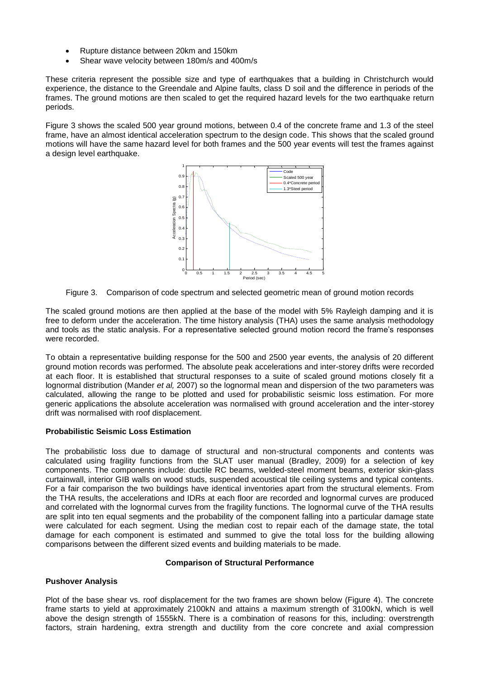- Rupture distance between 20km and 150km
- Shear wave velocity between 180m/s and 400m/s

These criteria represent the possible size and type of earthquakes that a building in Christchurch would experience, the distance to the Greendale and Alpine faults, class D soil and the difference in periods of the frames. The ground motions are then scaled to get the required hazard levels for the two earthquake return periods.

Figure 3 shows the scaled 500 year ground motions, between 0.4 of the concrete frame and 1.3 of the steel frame, have an almost identical acceleration spectrum to the design code. This shows that the scaled ground motions will have the same hazard level for both frames and the 500 year events will test the frames against a design level earthquake.



Figure 3. Comparison of code spectrum and selected geometric mean of ground motion records

The scaled ground motions are then applied at the base of the model with 5% Rayleigh damping and it is free to deform under the acceleration. The time history analysis (THA) uses the same analysis methodology and tools as the static analysis. For a representative selected ground motion record the frame's responses were recorded.

To obtain a representative building response for the 500 and 2500 year events, the analysis of 20 different ground motion records was performed. The absolute peak accelerations and inter-storey drifts were recorded at each floor. It is established that structural responses to a suite of scaled ground motions closely fit a lognormal distribution (Mander *et al,* 2007) so the lognormal mean and dispersion of the two parameters was calculated, allowing the range to be plotted and used for probabilistic seismic loss estimation. For more generic applications the absolute acceleration was normalised with ground acceleration and the inter-storey drift was normalised with roof displacement.

## **Probabilistic Seismic Loss Estimation**

The probabilistic loss due to damage of structural and non-structural components and contents was calculated using fragility functions from the SLAT user manual (Bradley, 2009) for a selection of key components. The components include: ductile RC beams, welded-steel moment beams, exterior skin-glass curtainwall, interior GIB walls on wood studs, suspended acoustical tile ceiling systems and typical contents. For a fair comparison the two buildings have identical inventories apart from the structural elements. From the THA results, the accelerations and IDRs at each floor are recorded and lognormal curves are produced and correlated with the lognormal curves from the fragility functions. The lognormal curve of the THA results are split into ten equal segments and the probability of the component falling into a particular damage state were calculated for each segment. Using the median cost to repair each of the damage state, the total damage for each component is estimated and summed to give the total loss for the building allowing comparisons between the different sized events and building materials to be made.

## **Comparison of Structural Performance**

## **Pushover Analysis**

Plot of the base shear vs. roof displacement for the two frames are shown below (Figure 4). The concrete frame starts to yield at approximately 2100kN and attains a maximum strength of 3100kN, which is well above the design strength of 1555kN. There is a combination of reasons for this, including: overstrength factors, strain hardening, extra strength and ductility from the core concrete and axial compression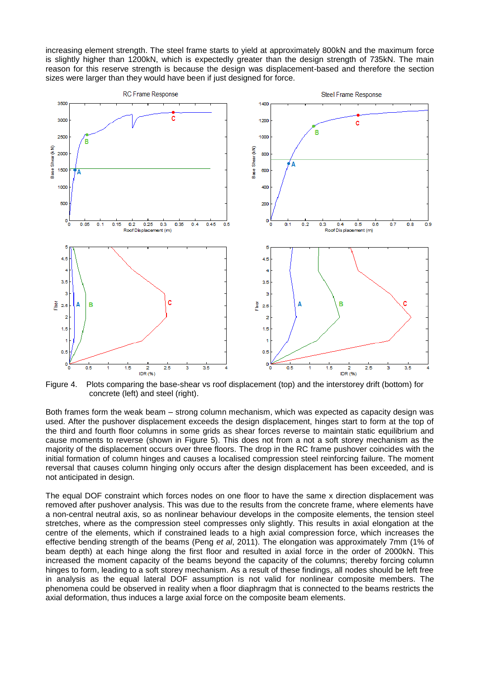increasing element strength. The steel frame starts to yield at approximately 800kN and the maximum force is slightly higher than 1200kN, which is expectedly greater than the design strength of 735kN. The main reason for this reserve strength is because the design was displacement-based and therefore the section sizes were larger than they would have been if just designed for force.



Figure 4. Plots comparing the base-shear vs roof displacement (top) and the interstorey drift (bottom) for concrete (left) and steel (right).

Both frames form the weak beam – strong column mechanism, which was expected as capacity design was used. After the pushover displacement exceeds the design displacement, hinges start to form at the top of the third and fourth floor columns in some grids as shear forces reverse to maintain static equilibrium and cause moments to reverse (shown in Figure 5). This does not from a not a soft storey mechanism as the majority of the displacement occurs over three floors. The drop in the RC frame pushover coincides with the initial formation of column hinges and causes a localised compression steel reinforcing failure. The moment reversal that causes column hinging only occurs after the design displacement has been exceeded, and is not anticipated in design.

The equal DOF constraint which forces nodes on one floor to have the same x direction displacement was removed after pushover analysis. This was due to the results from the concrete frame, where elements have a non-central neutral axis, so as nonlinear behaviour develops in the composite elements, the tension steel stretches, where as the compression steel compresses only slightly. This results in axial elongation at the centre of the elements, which if constrained leads to a high axial compression force, which increases the effective bending strength of the beams (Peng *et al*, 2011). The elongation was approximately 7mm (1% of beam depth) at each hinge along the first floor and resulted in axial force in the order of 2000kN. This increased the moment capacity of the beams beyond the capacity of the columns; thereby forcing column hinges to form, leading to a soft storey mechanism. As a result of these findings, all nodes should be left free in analysis as the equal lateral DOF assumption is not valid for nonlinear composite members. The phenomena could be observed in reality when a floor diaphragm that is connected to the beams restricts the axial deformation, thus induces a large axial force on the composite beam elements.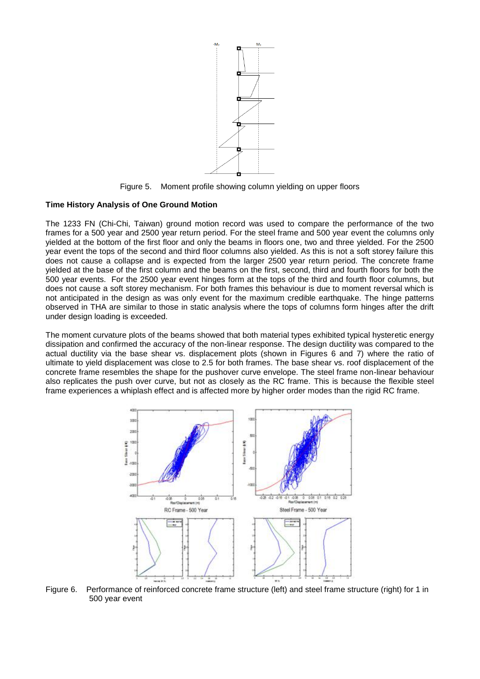

Figure 5. Moment profile showing column yielding on upper floors

## **Time History Analysis of One Ground Motion**

The 1233 FN (Chi-Chi, Taiwan) ground motion record was used to compare the performance of the two frames for a 500 year and 2500 year return period. For the steel frame and 500 year event the columns only yielded at the bottom of the first floor and only the beams in floors one, two and three yielded. For the 2500 year event the tops of the second and third floor columns also yielded. As this is not a soft storey failure this does not cause a collapse and is expected from the larger 2500 year return period. The concrete frame yielded at the base of the first column and the beams on the first, second, third and fourth floors for both the 500 year events. For the 2500 year event hinges form at the tops of the third and fourth floor columns, but does not cause a soft storey mechanism. For both frames this behaviour is due to moment reversal which is not anticipated in the design as was only event for the maximum credible earthquake. The hinge patterns observed in THA are similar to those in static analysis where the tops of columns form hinges after the drift under design loading is exceeded.

The moment curvature plots of the beams showed that both material types exhibited typical hysteretic energy dissipation and confirmed the accuracy of the non-linear response. The design ductility was compared to the actual ductility via the base shear vs. displacement plots (shown in Figures 6 and 7) where the ratio of ultimate to yield displacement was close to 2.5 for both frames. The base shear vs. roof displacement of the concrete frame resembles the shape for the pushover curve envelope. The steel frame non-linear behaviour also replicates the push over curve, but not as closely as the RC frame. This is because the flexible steel frame experiences a whiplash effect and is affected more by higher order modes than the rigid RC frame.



Figure 6. Performance of reinforced concrete frame structure (left) and steel frame structure (right) for 1 in 500 year event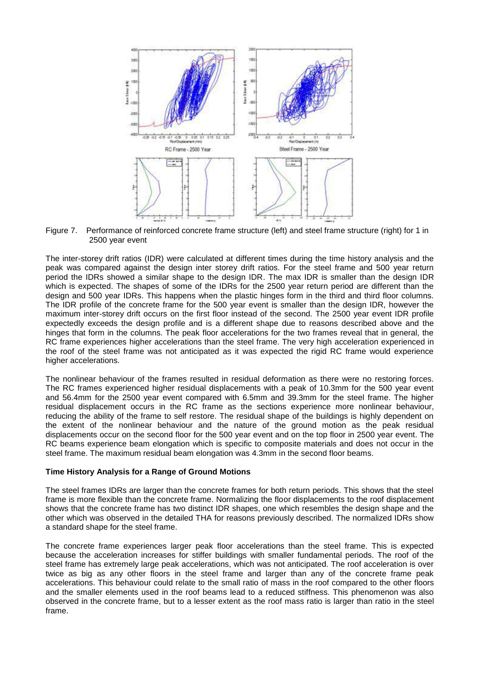

Figure 7. Performance of reinforced concrete frame structure (left) and steel frame structure (right) for 1 in 2500 year event

The inter-storey drift ratios (IDR) were calculated at different times during the time history analysis and the peak was compared against the design inter storey drift ratios. For the steel frame and 500 year return period the IDRs showed a similar shape to the design IDR. The max IDR is smaller than the design IDR which is expected. The shapes of some of the IDRs for the 2500 year return period are different than the design and 500 year IDRs. This happens when the plastic hinges form in the third and third floor columns. The IDR profile of the concrete frame for the 500 year event is smaller than the design IDR, however the maximum inter-storey drift occurs on the first floor instead of the second. The 2500 year event IDR profile expectedly exceeds the design profile and is a different shape due to reasons described above and the hinges that form in the columns. The peak floor accelerations for the two frames reveal that in general, the RC frame experiences higher accelerations than the steel frame. The very high acceleration experienced in the roof of the steel frame was not anticipated as it was expected the rigid RC frame would experience higher accelerations.

The nonlinear behaviour of the frames resulted in residual deformation as there were no restoring forces. The RC frames experienced higher residual displacements with a peak of 10.3mm for the 500 year event and 56.4mm for the 2500 year event compared with 6.5mm and 39.3mm for the steel frame. The higher residual displacement occurs in the RC frame as the sections experience more nonlinear behaviour, reducing the ability of the frame to self restore. The residual shape of the buildings is highly dependent on the extent of the nonlinear behaviour and the nature of the ground motion as the peak residual displacements occur on the second floor for the 500 year event and on the top floor in 2500 year event. The RC beams experience beam elongation which is specific to composite materials and does not occur in the steel frame. The maximum residual beam elongation was 4.3mm in the second floor beams.

## **Time History Analysis for a Range of Ground Motions**

The steel frames IDRs are larger than the concrete frames for both return periods. This shows that the steel frame is more flexible than the concrete frame. Normalizing the floor displacements to the roof displacement shows that the concrete frame has two distinct IDR shapes, one which resembles the design shape and the other which was observed in the detailed THA for reasons previously described. The normalized IDRs show a standard shape for the steel frame.

The concrete frame experiences larger peak floor accelerations than the steel frame. This is expected because the acceleration increases for stiffer buildings with smaller fundamental periods. The roof of the steel frame has extremely large peak accelerations, which was not anticipated. The roof acceleration is over twice as big as any other floors in the steel frame and larger than any of the concrete frame peak accelerations. This behaviour could relate to the small ratio of mass in the roof compared to the other floors and the smaller elements used in the roof beams lead to a reduced stiffness. This phenomenon was also observed in the concrete frame, but to a lesser extent as the roof mass ratio is larger than ratio in the steel frame.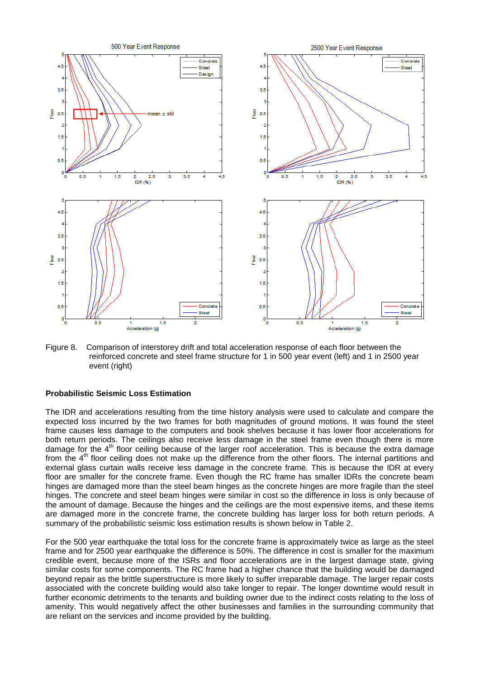

Figure 8. Comparison of interstorey drift and total acceleration response of each floor between the reinforced concrete and steel frame structure for 1 in 500 year event (left) and 1 in 2500 year event (right)

## **Probabilistic Seismic Loss Estimation**

The IDR and accelerations resulting from the time history analysis were used to calculate and compare the expected loss incurred by the two frames for both magnitudes of ground motions. It was found the steel frame causes less damage to the computers and book shelves because it has lower floor accelerations for both return periods. The ceilings also receive less damage in the steel frame even though there is more damage for the 4<sup>th</sup> floor ceiling because of the larger roof acceleration. This is because the extra damage from the 4<sup>th</sup> floor ceiling does not make up the difference from the other floors. The internal partitions and external glass curtain walls receive less damage in the concrete frame. This is because the IDR at every floor are smaller for the concrete frame. Even though the RC frame has smaller IDRs the concrete beam hinges are damaged more than the steel beam hinges as the concrete hinges are more fragile than the steel hinges. The concrete and steel beam hinges were similar in cost so the difference in loss is only because of the amount of damage. Because the hinges and the ceilings are the most expensive items, and these items are damaged more in the concrete frame, the concrete building has larger loss for both return periods. A summary of the probabilistic seismic loss estimation results is shown below in Table 2.

For the 500 year earthquake the total loss for the concrete frame is approximately twice as large as the steel frame and for 2500 year earthquake the difference is 50%. The difference in cost is smaller for the maximum credible event, because more of the ISRs and floor accelerations are in the largest damage state, giving similar costs for some components. The RC frame had a higher chance that the building would be damaged beyond repair as the brittle superstructure is more likely to suffer irreparable damage. The larger repair costs associated with the concrete building would also take longer to repair. The longer downtime would result in further economic detriments to the tenants and building owner due to the indirect costs relating to the loss of amenity. This would negatively affect the other businesses and families in the surrounding community that are reliant on the services and income provided by the building.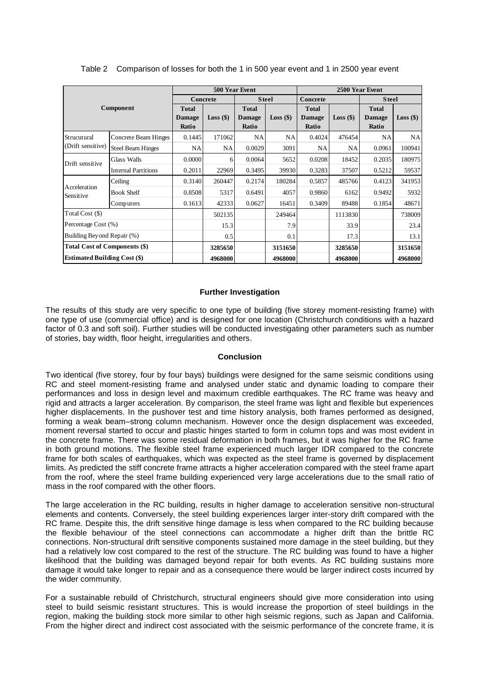|                                     | Component                                                                                                                                                                                                                                                                                                                                                                                                                                                                                                                                                                                                                                                                                                                                                                                                                                                                                                                                                                                                                                                                                                                                                                                                                                                                                                                                                                                          |                        | 500 Year Event                  |                        |             |                          | 2500 Year Event |                        |             |  |
|-------------------------------------|----------------------------------------------------------------------------------------------------------------------------------------------------------------------------------------------------------------------------------------------------------------------------------------------------------------------------------------------------------------------------------------------------------------------------------------------------------------------------------------------------------------------------------------------------------------------------------------------------------------------------------------------------------------------------------------------------------------------------------------------------------------------------------------------------------------------------------------------------------------------------------------------------------------------------------------------------------------------------------------------------------------------------------------------------------------------------------------------------------------------------------------------------------------------------------------------------------------------------------------------------------------------------------------------------------------------------------------------------------------------------------------------------|------------------------|---------------------------------|------------------------|-------------|--------------------------|-----------------|------------------------|-------------|--|
|                                     |                                                                                                                                                                                                                                                                                                                                                                                                                                                                                                                                                                                                                                                                                                                                                                                                                                                                                                                                                                                                                                                                                                                                                                                                                                                                                                                                                                                                    |                        | <b>Concrete</b><br><b>Steel</b> |                        |             | Concrete<br><b>Steel</b> |                 |                        |             |  |
|                                     |                                                                                                                                                                                                                                                                                                                                                                                                                                                                                                                                                                                                                                                                                                                                                                                                                                                                                                                                                                                                                                                                                                                                                                                                                                                                                                                                                                                                    |                        |                                 | <b>Total</b>           |             | <b>Total</b>             |                 | <b>Total</b>           |             |  |
|                                     |                                                                                                                                                                                                                                                                                                                                                                                                                                                                                                                                                                                                                                                                                                                                                                                                                                                                                                                                                                                                                                                                                                                                                                                                                                                                                                                                                                                                    | <b>Damage</b><br>Ratio | $Loss($ \$)                     | <b>Damage</b><br>Ratio | $Loss($ \$) | <b>Damage</b><br>Ratio   | $Loss($ \$)     | <b>Damage</b><br>Ratio | $Loss($ \$) |  |
| Strucutural                         | Concrete Beam Hinges                                                                                                                                                                                                                                                                                                                                                                                                                                                                                                                                                                                                                                                                                                                                                                                                                                                                                                                                                                                                                                                                                                                                                                                                                                                                                                                                                                               | 0.1445                 | 171062                          | <b>NA</b>              | <b>NA</b>   | 0.4024                   | 476454          | <b>NA</b>              | NA          |  |
| (Drift sensitive)                   | <b>Steel Beam Hinges</b>                                                                                                                                                                                                                                                                                                                                                                                                                                                                                                                                                                                                                                                                                                                                                                                                                                                                                                                                                                                                                                                                                                                                                                                                                                                                                                                                                                           | NA                     | NA                              | 0.0029                 | 3091        | NA                       | NA              | 0.0961                 | 100941      |  |
|                                     | Glass Walls                                                                                                                                                                                                                                                                                                                                                                                                                                                                                                                                                                                                                                                                                                                                                                                                                                                                                                                                                                                                                                                                                                                                                                                                                                                                                                                                                                                        | 0.0000                 | 6                               | 0.0064                 | 5652        | 0.0208                   | 18452           | 0.2035                 | 180975      |  |
| Drift sensitive                     | <b>Internal Partitions</b>                                                                                                                                                                                                                                                                                                                                                                                                                                                                                                                                                                                                                                                                                                                                                                                                                                                                                                                                                                                                                                                                                                                                                                                                                                                                                                                                                                         | 0.2011                 | 22969                           | 0.3495                 | 39930       | 0.3283                   | 37507           | 0.5212                 | 59537       |  |
|                                     | Ceiling                                                                                                                                                                                                                                                                                                                                                                                                                                                                                                                                                                                                                                                                                                                                                                                                                                                                                                                                                                                                                                                                                                                                                                                                                                                                                                                                                                                            | 0.3140                 | 260447                          | 0.2174                 | 180284      | 0.5857                   | 485766          | 0.4123                 | 341953      |  |
| Acceleration<br>Sensitive           | <b>Book Shelf</b>                                                                                                                                                                                                                                                                                                                                                                                                                                                                                                                                                                                                                                                                                                                                                                                                                                                                                                                                                                                                                                                                                                                                                                                                                                                                                                                                                                                  | 0.8508                 | 5317                            | 0.6491                 | 4057        | 0.9860                   | 6162            | 0.9492                 | 5932        |  |
|                                     | Computers                                                                                                                                                                                                                                                                                                                                                                                                                                                                                                                                                                                                                                                                                                                                                                                                                                                                                                                                                                                                                                                                                                                                                                                                                                                                                                                                                                                          | 0.1613                 | 42333                           | 0.0627                 | 16451       | 0.3409                   | 89488           | 0.1854                 | 48671       |  |
| Total Cost (\$)                     |                                                                                                                                                                                                                                                                                                                                                                                                                                                                                                                                                                                                                                                                                                                                                                                                                                                                                                                                                                                                                                                                                                                                                                                                                                                                                                                                                                                                    |                        | 502135                          |                        | 249464      |                          | 1113830         |                        | 738009      |  |
| Percentage Cost (%)                 |                                                                                                                                                                                                                                                                                                                                                                                                                                                                                                                                                                                                                                                                                                                                                                                                                                                                                                                                                                                                                                                                                                                                                                                                                                                                                                                                                                                                    |                        | 15.3                            |                        | 7.9         |                          | 33.9            |                        | 23.4        |  |
| Building Beyond Repair (%)          |                                                                                                                                                                                                                                                                                                                                                                                                                                                                                                                                                                                                                                                                                                                                                                                                                                                                                                                                                                                                                                                                                                                                                                                                                                                                                                                                                                                                    |                        | 0.5                             |                        | 0.1         |                          | 17.3            |                        | 13.1        |  |
|                                     | <b>Total Cost of Components (\$)</b>                                                                                                                                                                                                                                                                                                                                                                                                                                                                                                                                                                                                                                                                                                                                                                                                                                                                                                                                                                                                                                                                                                                                                                                                                                                                                                                                                               |                        | 3285650                         |                        | 3151650     |                          | 3285650         |                        | 3151650     |  |
| <b>Estimated Building Cost (\$)</b> |                                                                                                                                                                                                                                                                                                                                                                                                                                                                                                                                                                                                                                                                                                                                                                                                                                                                                                                                                                                                                                                                                                                                                                                                                                                                                                                                                                                                    |                        | 4968000                         |                        | 4968000     |                          | 4968000         |                        | 4968000     |  |
|                                     | factor of 0.3 and soft soil). Further studies will be conducted investigating other parameters such as number<br>of stories, bay width, floor height, irregularities and others.                                                                                                                                                                                                                                                                                                                                                                                                                                                                                                                                                                                                                                                                                                                                                                                                                                                                                                                                                                                                                                                                                                                                                                                                                   |                        |                                 |                        |             |                          |                 |                        |             |  |
|                                     |                                                                                                                                                                                                                                                                                                                                                                                                                                                                                                                                                                                                                                                                                                                                                                                                                                                                                                                                                                                                                                                                                                                                                                                                                                                                                                                                                                                                    |                        |                                 | <b>Conclusion</b>      |             |                          |                 |                        |             |  |
|                                     | Two identical (five storey, four by four bays) buildings were designed for the same seismic conditions using<br>RC and steel moment-resisting frame and analysed under static and dynamic loading to compare their<br>performances and loss in design level and maximum credible earthquakes. The RC frame was heavy and<br>rigid and attracts a larger acceleration. By comparison, the steel frame was light and flexible but experiences<br>higher displacements. In the pushover test and time history analysis, both frames performed as designed,<br>forming a weak beam–strong column mechanism. However once the design displacement was exceeded,<br>moment reversal started to occur and plastic hinges started to form in column tops and was most evident in<br>the concrete frame. There was some residual deformation in both frames, but it was higher for the RC frame<br>in both ground motions. The flexible steel frame experienced much larger IDR compared to the concrete<br>frame for both scales of earthquakes, which was expected as the steel frame is governed by displacement<br>limits. As predicted the stiff concrete frame attracts a higher acceleration compared with the steel frame apart<br>from the roof, where the steel frame building experienced very large accelerations due to the small ratio of<br>mass in the roof compared with the other floors. |                        |                                 |                        |             |                          |                 |                        |             |  |
| the wider community.                | The large acceleration in the RC building, results in higher damage to acceleration sensitive non-structural<br>elements and contents. Conversely, the steel building experiences larger inter-story drift compared with the<br>RC frame. Despite this, the drift sensitive hinge damage is less when compared to the RC building because<br>the flexible behaviour of the steel connections can accommodate a higher drift than the brittle RC<br>connections. Non-structural drift sensitive components sustained more damage in the steel building, but they<br>had a relatively low cost compared to the rest of the structure. The RC building was found to have a higher<br>likelihood that the building was damaged beyond repair for both events. As RC building sustains more<br>damage it would take longer to repair and as a consequence there would be larger indirect costs incurred by                                                                                                                                                                                                                                                                                                                                                                                                                                                                                              |                        |                                 |                        |             |                          |                 |                        |             |  |
|                                     | For a sustainable rebuild of Christchurch, structural engineers should give more consideration into using<br>steel to build seismic resistant structures. This is would increase the proportion of steel buildings in the<br>region, making the building stock more similar to other high seismic regions, such as Japan and California.<br>From the higher direct and indirect cost associated with the seismic performance of the concrete frame, it is                                                                                                                                                                                                                                                                                                                                                                                                                                                                                                                                                                                                                                                                                                                                                                                                                                                                                                                                          |                        |                                 |                        |             |                          |                 |                        |             |  |

Table 2 Comparison of losses for both the 1 in 500 year event and 1 in 2500 year event

#### **Further Investigation**

#### **Conclusion**